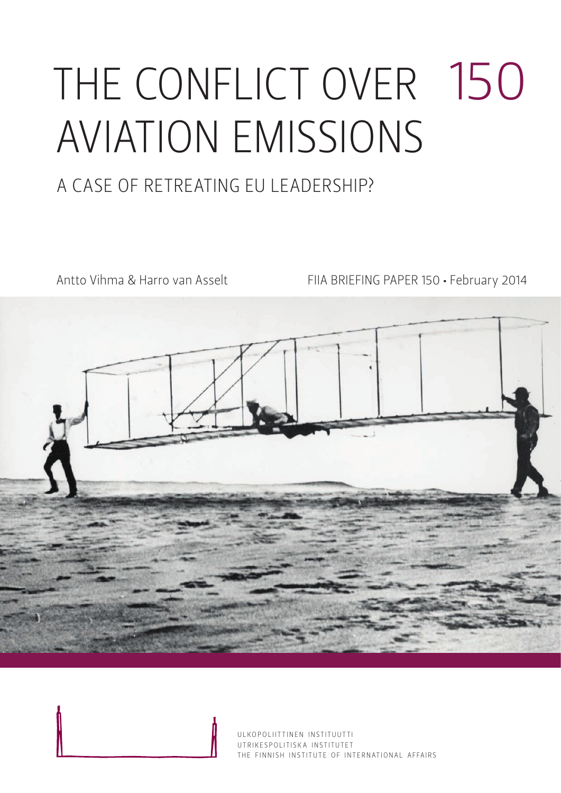# THE CONFLICT OVER 150 AVIATION EMISSIONS

### A Case of Retreat ing EU Leadership?

Antto Vihma & Harro van Asselt FIIA BRIEFING PAPER 150 · February 2014



ULKOPOLIITTINEN INSTITUUTTI UTRIKESPOLITISK A INSTITUTET THE FINNISH INSTITUTE OF INTERNATIONAL AFFAIRS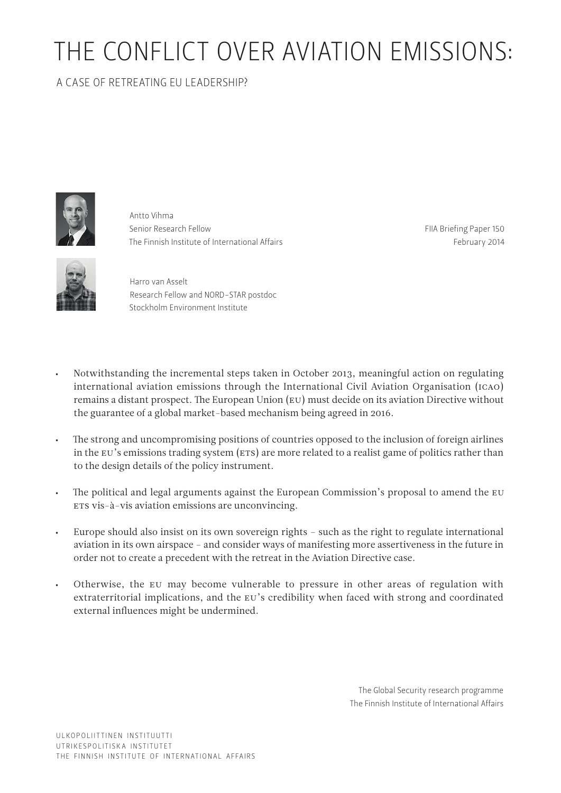## THE CONFLICT OVER AVIATION EMISSIONS:

#### A Case of Retreat ing EU Leadership?



Antto Vihma Senior Research Fellow The Finnish Institute of International Affairs

FIIA Briefing Paper 150 February 2014



Harro van Asselt Research Fellow and NORD-STAR postdoc Stockholm Environment Institute

- Notwithstanding the incremental steps taken in October 2013, meaningful action on regulating international aviation emissions through the International Civil Aviation Organisation (ICAO) remains a distant prospect. The European Union (EU) must decide on its aviation Directive without the guarantee of a global market-based mechanism being agreed in 2016.
- • The strong and uncompromising positions of countries opposed to the inclusion of foreign airlines in the EU's emissions trading system (ETS) are more related to a realist game of politics rather than to the design details of the policy instrument.
- The political and legal arguments against the European Commission's proposal to amend the EU ETS vis-à-vis aviation emissions are unconvincing.
- • Europe should also insist on its own sovereign rights such as the right to regulate international aviation in its own airspace – and consider ways of manifesting more assertiveness in the future in order not to create a precedent with the retreat in the Aviation Directive case.
- Otherwise, the EU may become vulnerable to pressure in other areas of regulation with extraterritorial implications, and the EU's credibility when faced with strong and coordinated external influences might be undermined.

The Global Security research programme The Finnish Institute of International Affairs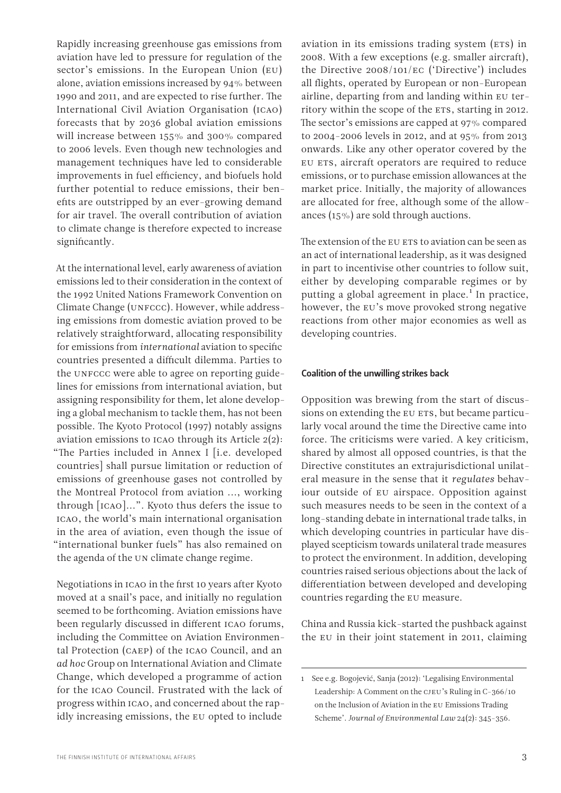Rapidly increasing greenhouse gas emissions from aviation have led to pressure for regulation of the sector's emissions. In the European Union (EU) alone, aviation emissions increased by 94% between 1990 and 2011, and are expected to rise further. The International Civil Aviation Organisation (ICAO) forecasts that by 2036 global aviation emissions will increase between 155% and 300% compared to 2006 levels. Even though new technologies and management techniques have led to considerable improvements in fuel efficiency, and biofuels hold further potential to reduce emissions, their benefits are outstripped by an ever-growing demand for air travel. The overall contribution of aviation to climate change is therefore expected to increase significantly.

At the international level, early awareness of aviation emissions led to their consideration in the context of the 1992 United Nations Framework Convention on Climate Change (UNFCCC). However, while addressing emissions from domestic aviation proved to be relatively straightforward, allocating responsibility for emissions from *international* aviation to specific countries presented a difficult dilemma. Parties to the UNFCCC were able to agree on reporting guidelines for emissions from international aviation, but assigning responsibility for them, let alone developing a global mechanism to tackle them, has not been possible. The Kyoto Protocol (1997) notably assigns aviation emissions to ICAO through its Article 2(2): "The Parties included in Annex I [i.e. developed countries] shall pursue limitation or reduction of emissions of greenhouse gases not controlled by the Montreal Protocol from aviation ..., working through [ICAO]...". Kyoto thus defers the issue to ICAO, the world's main international organisation in the area of aviation, even though the issue of "international bunker fuels" has also remained on the agenda of the UN climate change regime.

Negotiations in ICAO in the first 10 years after Kyoto moved at a snail's pace, and initially no regulation seemed to be forthcoming. Aviation emissions have been regularly discussed in different ICAO forums, including the Committee on Aviation Environmental Protection (CAEP) of the ICAO Council, and an *ad hoc* Group on International Aviation and Climate Change, which developed a programme of action for the ICAO Council. Frustrated with the lack of progress within ICAO, and concerned about the rapidly increasing emissions, the EU opted to include

aviation in its emissions trading system (ETS) in 2008. With a few exceptions (e.g. smaller aircraft), the Directive 2008/101/EC ('Directive') includes all flights, operated by European or non-European airline, departing from and landing within EU territory within the scope of the ETS, starting in 2012. The sector's emissions are capped at 97% compared to 2004-2006 levels in 2012, and at 95% from 2013 onwards. Like any other operator covered by the EU ETS, aircraft operators are required to reduce emissions, or to purchase emission allowances at the market price. Initially, the majority of allowances are allocated for free, although some of the allowances (15%) are sold through auctions.

The extension of the EU ETS to aviation can be seen as an act of international leadership, as it was designed in part to incentivise other countries to follow suit, either by developing comparable regimes or by putting a global agreement in place.<sup>1</sup> In practice, however, the EU's move provoked strong negative reactions from other major economies as well as developing countries.

#### Coalition of the unwilling strikes back

Opposition was brewing from the start of discussions on extending the EU ETS, but became particularly vocal around the time the Directive came into force. The criticisms were varied. A key criticism, shared by almost all opposed countries, is that the Directive constitutes an extrajurisdictional unilateral measure in the sense that it *regulates* behaviour outside of EU airspace. Opposition against such measures needs to be seen in the context of a long-standing debate in international trade talks, in which developing countries in particular have displayed scepticism towards unilateral trade measures to protect the environment. In addition, developing countries raised serious objections about the lack of differentiation between developed and developing countries regarding the EU measure.

China and Russia kick-started the pushback against the EU in their joint statement in 2011, claiming

<sup>1</sup> See e.g. Bogojević, Sanja (2012): 'Legalising Environmental Leadership: A Comment on the CJEU's Ruling in C-366/10 on the Inclusion of Aviation in the EU Emissions Trading Scheme'. *Journal of Environmental Law* 24(2): 345-356.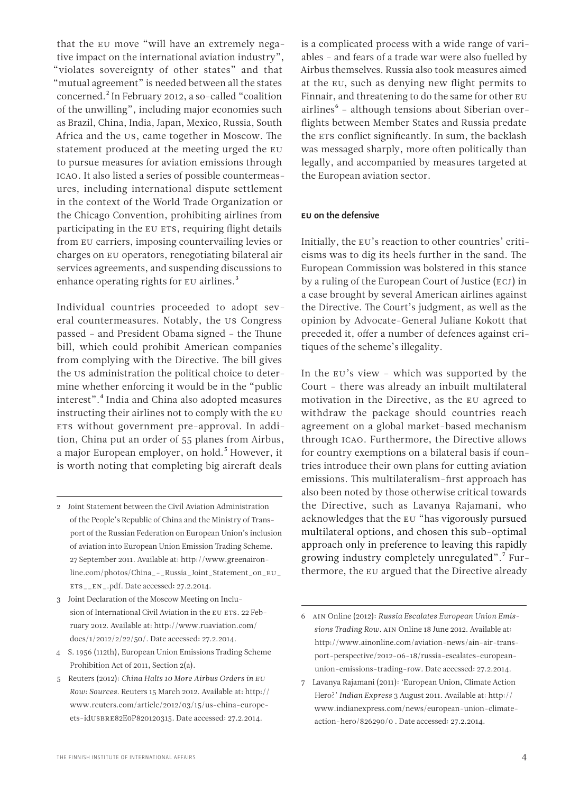that the EU move "will have an extremely negative impact on the international aviation industry", "violates sovereignty of other states" and that "mutual agreement" is needed between all the states concerned.<sup>2</sup> In February 2012, a so-called "coalition of the unwilling", including major economies such as Brazil, China, India, Japan, Mexico, Russia, South Africa and the US, came together in Moscow. The statement produced at the meeting urged the EU to pursue measures for aviation emissions through ICAO. It also listed a series of possible countermeasures, including international dispute settlement in the context of the World Trade Organization or the Chicago Convention, prohibiting airlines from participating in the EU ETS, requiring flight details from EU carriers, imposing countervailing levies or charges on EU operators, renegotiating bilateral air services agreements, and suspending discussions to enhance operating rights for EU airlines.<sup>3</sup>

Individual countries proceeded to adopt several countermeasures. Notably, the US Congress passed – and President Obama signed – the Thune bill, which could prohibit American companies from complying with the Directive. The bill gives the US administration the political choice to determine whether enforcing it would be in the "public interest".4 India and China also adopted measures instructing their airlines not to comply with the EU ETS without government pre-approval. In addition, China put an order of 55 planes from Airbus, a major European employer, on hold.<sup>5</sup> However, it is worth noting that completing big aircraft deals

- 4 S. 1956 (112th), European Union Emissions Trading Scheme Prohibition Act of 2011, Section 2(a).
- 5 Reuters (2012): *China Halts 10 More Airbus Orders in EU Row: Sources.* Reuters 15 March 2012. Available at: [http://](http://www.reuters.com/article/2012/03/15/us-china-europe-ets-idUSBRE82E0P820120315) [www.reuters.com/article/2012/03/15/us-china-europe](http://www.reuters.com/article/2012/03/15/us-china-europe-ets-idUSBRE82E0P820120315)ets-idUSBRE[82E0P820120315.](http://www.reuters.com/article/2012/03/15/us-china-europe-ets-idUSBRE82E0P820120315) Date accessed: 27.2.2014.

is a complicated process with a wide range of variables – and fears of a trade war were also fuelled by Airbus themselves. Russia also took measures aimed at the EU, such as denying new flight permits to Finnair, and threatening to do the same for other EU airlines<sup>6</sup> - although tensions about Siberian overflights between Member States and Russia predate the ETS conflict significantly. In sum, the backlash was messaged sharply, more often politically than legally, and accompanied by measures targeted at the European aviation sector.

#### EU on the defensive

Initially, the EU's reaction to other countries' criticisms was to dig its heels further in the sand. The European Commission was bolstered in this stance by a ruling of the European Court of Justice (ECJ) in a case brought by several American airlines against the Directive. The Court's judgment, as well as the opinion by Advocate-General Juliane Kokott that preceded it, offer a number of defences against critiques of the scheme's illegality.

In the EU's view – which was supported by the Court – there was already an inbuilt multilateral motivation in the Directive, as the EU agreed to withdraw the package should countries reach agreement on a global market-based mechanism through ICAO. Furthermore, the Directive allows for country exemptions on a bilateral basis if countries introduce their own plans for cutting aviation emissions. This multilateralism-first approach has also been noted by those otherwise critical towards the Directive, such as Lavanya Rajamani, who acknowledges that the EU "has vigorously pursued multilateral options, and chosen this sub-optimal approach only in preference to leaving this rapidly growing industry completely unregulated".7 Furthermore, the EU argued that the Directive already

<sup>2</sup> Joint Statement between the Civil Aviation Administration of the People's Republic of China and the Ministry of Transport of the Russian Federation on European Union's inclusion of aviation into European Union Emission Trading Scheme. 27 September 2011. Available at: [http://www.greenairon](http://www.greenaironline.com/photos/China_-_Russia_Joint_Statement_on_EU_ETS__EN_.pdf)[line.com/photos/China\\_-\\_Russia\\_Joint\\_Statement\\_on\\_](http://www.greenaironline.com/photos/China_-_Russia_Joint_Statement_on_EU_ETS__EN_.pdf)EU\_ ETS\_\_EN[\\_.pdf](http://www.greenaironline.com/photos/China_-_Russia_Joint_Statement_on_EU_ETS__EN_.pdf). Date accessed: 27.2.2014.

<sup>3</sup> Joint Declaration of the Moscow Meeting on Inclusion of International Civil Aviation in the EU ETS. 22 February 2012. Available at: [http://www.ruaviation.com/](http://www.ruaviation.com/docs/1/2012/2/22/50/) [docs/1/2012/2/22/50/](http://www.ruaviation.com/docs/1/2012/2/22/50/). Date accessed: 27.2.2014.

<sup>6</sup> AIN Online (2012): *Russia Escalates European Union Emissions Trading Row.* AIN Online 18 June 2012. Available at: [http://www.ainonline.com/aviation-news/ain-air-trans](http://www.ainonline.com/aviation-news/ain-air-transport-perspective/2012-06-18/russia-escalates-european-union-emissions-trading-row)[port-perspective/2012-06-18/russia-escalates-european](http://www.ainonline.com/aviation-news/ain-air-transport-perspective/2012-06-18/russia-escalates-european-union-emissions-trading-row)[union-emissions-trading-row.](http://www.ainonline.com/aviation-news/ain-air-transport-perspective/2012-06-18/russia-escalates-european-union-emissions-trading-row) Date accessed: 27.2.2014.

<sup>7</sup> Lavanya Rajamani (2011): 'European Union, Climate Action Hero?' *Indian Express* 3 August 2011. Available at: [http://](http://www.indianexpress.com/news/european-union-climate-action-hero/826290/0%20) [www.indianexpress.com/news/european-union-climate](http://www.indianexpress.com/news/european-union-climate-action-hero/826290/0%20)[action-hero/826290/0](http://www.indianexpress.com/news/european-union-climate-action-hero/826290/0%20) . Date accessed: 27.2.2014.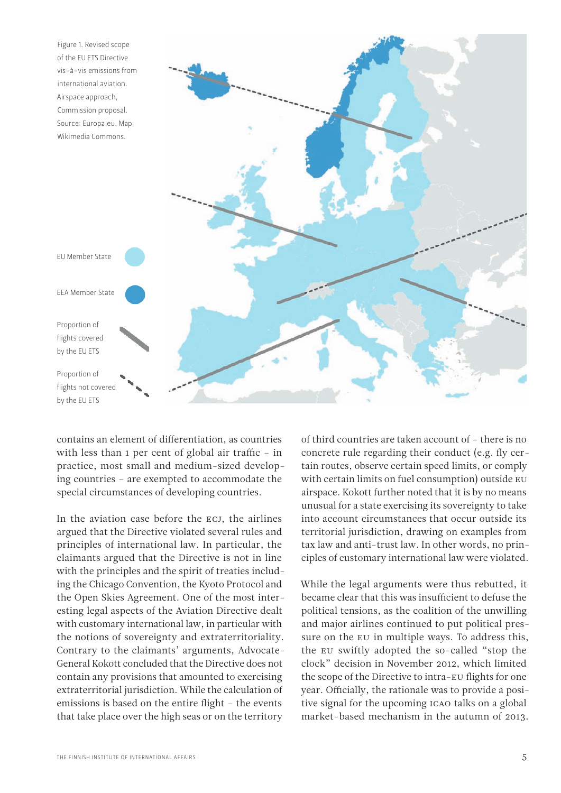

contains an element of differentiation, as countries with less than 1 per cent of global air traffic – in practice, most small and medium-sized developing countries – are exempted to accommodate the special circumstances of developing countries.

In the aviation case before the ECJ, the airlines argued that the Directive violated several rules and principles of international law. In particular, the claimants argued that the Directive is not in line with the principles and the spirit of treaties including the Chicago Convention, the Kyoto Protocol and the Open Skies Agreement. One of the most interesting legal aspects of the Aviation Directive dealt with customary international law, in particular with the notions of sovereignty and extraterritoriality. Contrary to the claimants' arguments, Advocate-General Kokott concluded that the Directive does not contain any provisions that amounted to exercising extraterritorial jurisdiction. While the calculation of emissions is based on the entire flight – the events that take place over the high seas or on the territory

of third countries are taken account of – there is no concrete rule regarding their conduct (e.g. fly certain routes, observe certain speed limits, or comply with certain limits on fuel consumption) outside EU airspace. Kokott further noted that it is by no means unusual for a state exercising its sovereignty to take into account circumstances that occur outside its territorial jurisdiction, drawing on examples from tax law and anti-trust law. In other words, no principles of customary international law were violated.

While the legal arguments were thus rebutted, it became clear that this was insufficient to defuse the political tensions, as the coalition of the unwilling and major airlines continued to put political pressure on the EU in multiple ways. To address this, the EU swiftly adopted the so-called "stop the clock" decision in November 2012, which limited the scope of the Directive to intra-EU flights for one year. Officially, the rationale was to provide a positive signal for the upcoming ICAO talks on a global market-based mechanism in the autumn of 2013.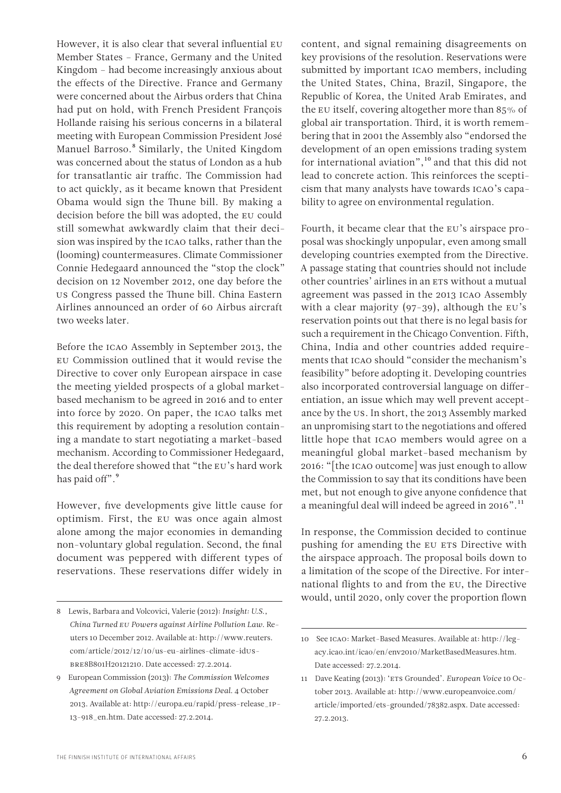However, it is also clear that several influential EU Member States – France, Germany and the United Kingdom – had become increasingly anxious about the effects of the Directive. France and Germany were concerned about the Airbus orders that China had put on hold, with French President François Hollande raising his serious concerns in a bilateral meeting with European Commission President José Manuel Barroso.<sup>8</sup> Similarly, the United Kingdom was concerned about the status of London as a hub for transatlantic air traffic. The Commission had to act quickly, as it became known that President Obama would sign the Thune bill. By making a decision before the bill was adopted, the EU could still somewhat awkwardly claim that their decision was inspired by the ICAO talks, rather than the (looming) countermeasures. Climate Commissioner Connie Hedegaard announced the "stop the clock" decision on 12 November 2012, one day before the US Congress passed the Thune bill. China Eastern Airlines announced an order of 60 Airbus aircraft two weeks later.

Before the ICAO Assembly in September 2013, the EU Commission outlined that it would revise the Directive to cover only European airspace in case the meeting yielded prospects of a global marketbased mechanism to be agreed in 2016 and to enter into force by 2020. On paper, the ICAO talks met this requirement by adopting a resolution containing a mandate to start negotiating a market-based mechanism. According to Commissioner Hedegaard, the deal therefore showed that "the EU's hard work has paid off".<sup>9</sup>

However, five developments give little cause for optimism. First, the EU was once again almost alone among the major economies in demanding non-voluntary global regulation. Second, the final document was peppered with different types of reservations. These reservations differ widely in content, and signal remaining disagreements on key provisions of the resolution. Reservations were submitted by important ICAO members, including the United States, China, Brazil, Singapore, the Republic of Korea, the United Arab Emirates, and the EU itself, covering altogether more than 85% of global air transportation. Third, it is worth remembering that in 2001 the Assembly also "endorsed the development of an open emissions trading system for international aviation", $10$  and that this did not lead to concrete action. This reinforces the scepticism that many analysts have towards ICAO's capability to agree on environmental regulation.

Fourth, it became clear that the EU's airspace proposal was shockingly unpopular, even among small developing countries exempted from the Directive. A passage stating that countries should not include other countries' airlines in an ETS without a mutual agreement was passed in the 2013 ICAO Assembly with a clear majority  $(97-39)$ , although the EU's reservation points out that there is no legal basis for such a requirement in the Chicago Convention. Fifth, China, India and other countries added requirements that ICAO should "consider the mechanism's feasibility" before adopting it. Developing countries also incorporated controversial language on differentiation, an issue which may well prevent acceptance by the US. In short, the 2013 Assembly marked an unpromising start to the negotiations and offered little hope that ICAO members would agree on a meaningful global market-based mechanism by 2016: "[the ICAO outcome] was just enough to allow the Commission to say that its conditions have been met, but not enough to give anyone confidence that a meaningful deal will indeed be agreed in 2016".<sup>11</sup>

In response, the Commission decided to continue pushing for amending the EU ETS Directive with the airspace approach. The proposal boils down to a limitation of the scope of the Directive. For international flights to and from the EU, the Directive would, until 2020, only cover the proportion flown

<sup>8</sup> Lewis, Barbara and Volcovici, Valerie (2012): *Insight: U.S., China Turned EU Powers against Airline Pollution Law*. Reuters 10 December 2012. Available at: [http://www.reuters.](http://www.reuters.com/article/2012/12/10/us-eu-airlines-climate-idUSBRE8B801H20121210) [com/article/2012/12/10/us-eu-airlines-climate-id](http://www.reuters.com/article/2012/12/10/us-eu-airlines-climate-idUSBRE8B801H20121210)US-BRE[8B801H20121210](http://www.reuters.com/article/2012/12/10/us-eu-airlines-climate-idUSBRE8B801H20121210). Date accessed: 27.2.2014.

<sup>9</sup> European Commission (2013): *The Commission Welcomes Agreement on Global Aviation Emissions Deal*. 4 October 2013. Available at: [http://europa.eu/rapid/press-release\\_](http://europa.eu/rapid/press-release_IP-13-918_en.htm)IP-[13-918\\_en.htm](http://europa.eu/rapid/press-release_IP-13-918_en.htm). Date accessed: 27.2.2014.

<sup>10</sup> See ICAO: Market-Based Measures. Available at: [http://leg](http://legacy.icao.int/icao/en/env2010/MarketBasedMeasures.htm)[acy.icao.int/icao/en/env2010/MarketBasedMeasures.htm.](http://legacy.icao.int/icao/en/env2010/MarketBasedMeasures.htm) Date accessed: 27.2.2014.

<sup>11</sup> Dave Keating (2013): 'ETS Grounded'. *European Voice* 10 October 2013. Available at: [http://www.europeanvoice.com/](http://www.europeanvoice.com/article/imported/ets-grounded/78382.aspx) [article/imported/ets-grounded/78382.aspx](http://www.europeanvoice.com/article/imported/ets-grounded/78382.aspx). Date accessed: 27.2.2013.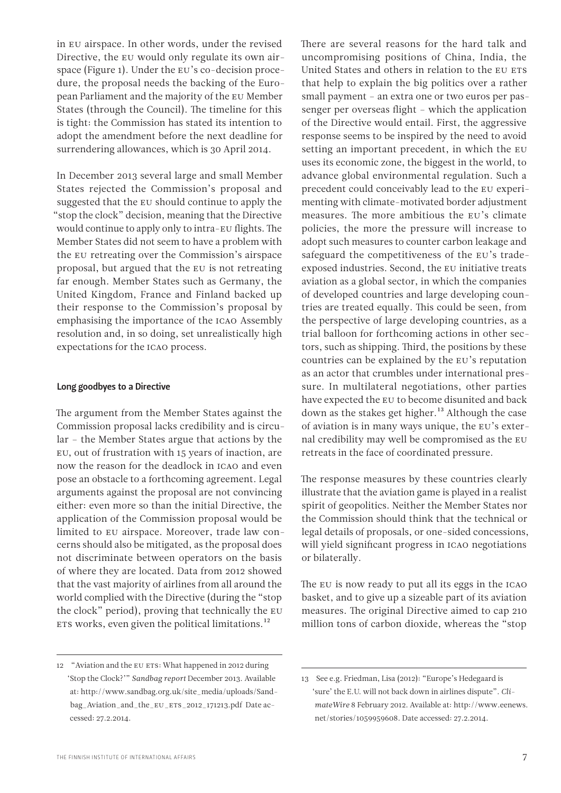adopt the amendment before the next deadline for surrendering allowances, which is 30 April 2014. In December 2013 several large and small Member States rejected the Commission's proposal and suggested that the EU should continue to apply the "stop the clock" decision, meaning that the Directive

would continue to apply only to intra-EU flights. The Member States did not seem to have a problem with the EU retreating over the Commission's airspace proposal, but argued that the EU is not retreating far enough. Member States such as Germany, the United Kingdom, France and Finland backed up their response to the Commission's proposal by emphasising the importance of the ICAO Assembly resolution and, in so doing, set unrealistically high expectations for the ICAO process.

in EU airspace. In other words, under the revised Directive, the EU would only regulate its own airspace (Figure 1). Under the EU's co-decision procedure, the proposal needs the backing of the European Parliament and the majority of the EU Member States (through the Council). The timeline for this is tight: the Commission has stated its intention to

#### Long goodbyes to a Directive

The argument from the Member States against the Commission proposal lacks credibility and is circular – the Member States argue that actions by the EU, out of frustration with 15 years of inaction, are now the reason for the deadlock in ICAO and even pose an obstacle to a forthcoming agreement. Legal arguments against the proposal are not convincing either: even more so than the initial Directive, the application of the Commission proposal would be limited to EU airspace. Moreover, trade law concerns should also be mitigated, as the proposal does not discriminate between operators on the basis of where they are located. Data from 2012 showed that the vast majority of airlines from all around the world complied with the Directive (during the "stop the clock" period), proving that technically the EU ETS works, even given the political limitations. $^{12}$ 

There are several reasons for the hard talk and uncompromising positions of China, India, the United States and others in relation to the EU ETS that help to explain the big politics over a rather small payment – an extra one or two euros per passenger per overseas flight – which the application of the Directive would entail. First, the aggressive response seems to be inspired by the need to avoid setting an important precedent, in which the EU uses its economic zone, the biggest in the world, to advance global environmental regulation. Such a precedent could conceivably lead to the EU experimenting with climate-motivated border adjustment measures. The more ambitious the EU's climate policies, the more the pressure will increase to adopt such measures to counter carbon leakage and safeguard the competitiveness of the EU's tradeexposed industries. Second, the EU initiative treats aviation as a global sector, in which the companies of developed countries and large developing countries are treated equally. This could be seen, from the perspective of large developing countries, as a trial balloon for forthcoming actions in other sectors, such as shipping. Third, the positions by these countries can be explained by the EU's reputation as an actor that crumbles under international pressure. In multilateral negotiations, other parties have expected the EU to become disunited and back down as the stakes get higher.<sup>13</sup> Although the case of aviation is in many ways unique, the EU's external credibility may well be compromised as the EU retreats in the face of coordinated pressure.

The response measures by these countries clearly illustrate that the aviation game is played in a realist spirit of geopolitics. Neither the Member States nor the Commission should think that the technical or legal details of proposals, or one-sided concessions, will yield significant progress in ICAO negotiations or bilaterally.

The EU is now ready to put all its eggs in the ICAO basket, and to give up a sizeable part of its aviation measures. The original Directive aimed to cap 210 million tons of carbon dioxide, whereas the "stop

<sup>12</sup> "Aviation and the EU ETS: What happened in 2012 during 'Stop the Clock?'" *Sandbag report* December 2013. Available at: [http://www.sandbag.org.uk/site\\_media/uploads/Sand](http://www.sandbag.org.uk/site_media/uploads/Sandbag_Aviation_and_the_EU_ETS_2012_171213.pdf%20)[bag\\_Aviation\\_and\\_the\\_](http://www.sandbag.org.uk/site_media/uploads/Sandbag_Aviation_and_the_EU_ETS_2012_171213.pdf%20)EU\_ETS\_2012\_171213.pdf Date accessed: 27.2.2014.

<sup>13</sup> See e.g. Friedman, Lisa (2012): "Europe's Hedegaard is 'sure' the E.U. will not back down in airlines dispute". *ClimateWire* 8 February 2012. Available at: http://www.eenews. net/stories/1059959608. Date accessed: 27.2.2014.